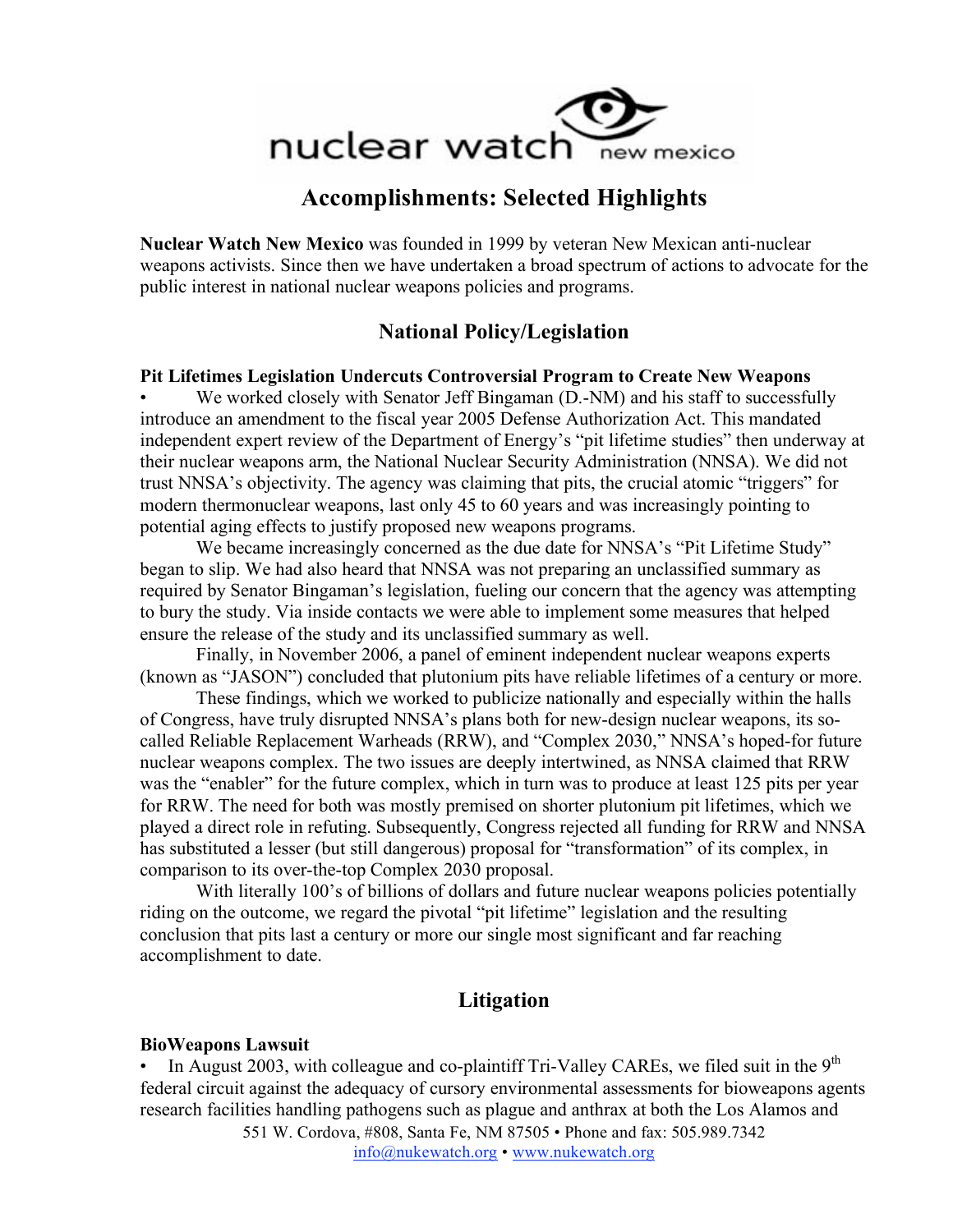

# **Accomplishments: Selected Highlights**

**Nuclear Watch New Mexico** was founded in 1999 by veteran New Mexican anti-nuclear weapons activists. Since then we have undertaken a broad spectrum of actions to advocate for the public interest in national nuclear weapons policies and programs.

# **National Policy/Legislation**

#### **Pit Lifetimes Legislation Undercuts Controversial Program to Create New Weapons**

We worked closely with Senator Jeff Bingaman (D.-NM) and his staff to successfully introduce an amendment to the fiscal year 2005 Defense Authorization Act. This mandated independent expert review of the Department of Energy's "pit lifetime studies" then underway at their nuclear weapons arm, the National Nuclear Security Administration (NNSA). We did not trust NNSA's objectivity. The agency was claiming that pits, the crucial atomic "triggers" for modern thermonuclear weapons, last only 45 to 60 years and was increasingly pointing to potential aging effects to justify proposed new weapons programs.

We became increasingly concerned as the due date for NNSA's "Pit Lifetime Study" began to slip. We had also heard that NNSA was not preparing an unclassified summary as required by Senator Bingaman's legislation, fueling our concern that the agency was attempting to bury the study. Via inside contacts we were able to implement some measures that helped ensure the release of the study and its unclassified summary as well.

Finally, in November 2006, a panel of eminent independent nuclear weapons experts (known as "JASON") concluded that plutonium pits have reliable lifetimes of a century or more.

These findings, which we worked to publicize nationally and especially within the halls of Congress, have truly disrupted NNSA's plans both for new-design nuclear weapons, its socalled Reliable Replacement Warheads (RRW), and "Complex 2030," NNSA's hoped-for future nuclear weapons complex. The two issues are deeply intertwined, as NNSA claimed that RRW was the "enabler" for the future complex, which in turn was to produce at least 125 pits per year for RRW. The need for both was mostly premised on shorter plutonium pit lifetimes, which we played a direct role in refuting. Subsequently, Congress rejected all funding for RRW and NNSA has substituted a lesser (but still dangerous) proposal for "transformation" of its complex, in comparison to its over-the-top Complex 2030 proposal.

With literally 100's of billions of dollars and future nuclear weapons policies potentially riding on the outcome, we regard the pivotal "pit lifetime" legislation and the resulting conclusion that pits last a century or more our single most significant and far reaching accomplishment to date.

## **Litigation**

#### **BioWeapons Lawsuit**

In August 2003, with colleague and co-plaintiff Tri-Valley CAREs, we filed suit in the  $9<sup>th</sup>$ federal circuit against the adequacy of cursory environmental assessments for bioweapons agents research facilities handling pathogens such as plague and anthrax at both the Los Alamos and

551 W. Cordova, #808, Santa Fe, NM 87505 • Phone and fax: 505.989.7342 info@nukewatch.org • www.nukewatch.org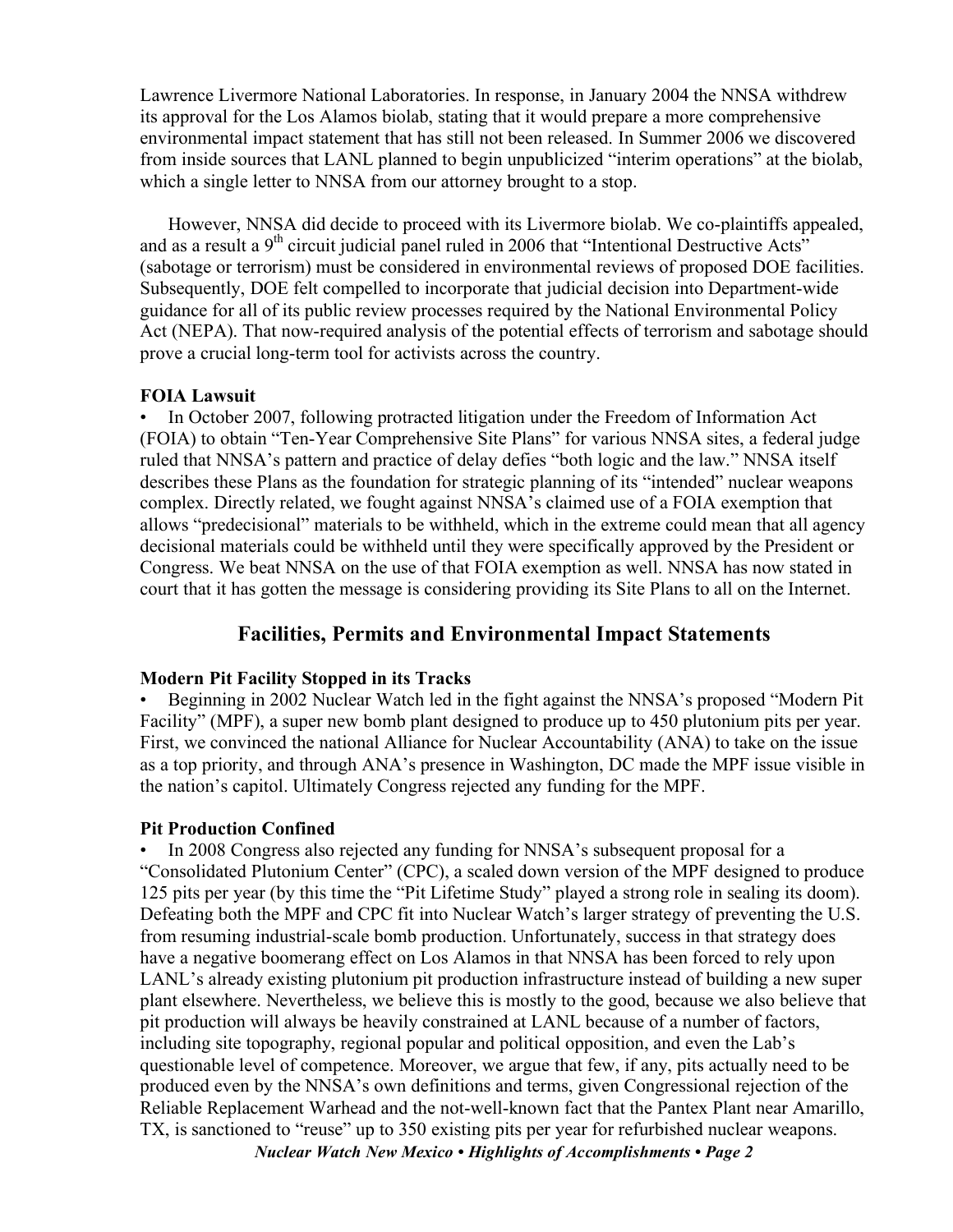Lawrence Livermore National Laboratories. In response, in January 2004 the NNSA withdrew its approval for the Los Alamos biolab, stating that it would prepare a more comprehensive environmental impact statement that has still not been released. In Summer 2006 we discovered from inside sources that LANL planned to begin unpublicized "interim operations" at the biolab, which a single letter to NNSA from our attorney brought to a stop.

However, NNSA did decide to proceed with its Livermore biolab. We co-plaintiffs appealed, and as a result a  $9<sup>th</sup>$  circuit judicial panel ruled in 2006 that "Intentional Destructive Acts" (sabotage or terrorism) must be considered in environmental reviews of proposed DOE facilities. Subsequently, DOE felt compelled to incorporate that judicial decision into Department-wide guidance for all of its public review processes required by the National Environmental Policy Act (NEPA). That now-required analysis of the potential effects of terrorism and sabotage should prove a crucial long-term tool for activists across the country.

#### **FOIA Lawsuit**

• In October 2007, following protracted litigation under the Freedom of Information Act (FOIA) to obtain "Ten-Year Comprehensive Site Plans" for various NNSA sites, a federal judge ruled that NNSA's pattern and practice of delay defies "both logic and the law." NNSA itself describes these Plans as the foundation for strategic planning of its "intended" nuclear weapons complex. Directly related, we fought against NNSA's claimed use of a FOIA exemption that allows "predecisional" materials to be withheld, which in the extreme could mean that all agency decisional materials could be withheld until they were specifically approved by the President or Congress. We beat NNSA on the use of that FOIA exemption as well. NNSA has now stated in court that it has gotten the message is considering providing its Site Plans to all on the Internet.

## **Facilities, Permits and Environmental Impact Statements**

#### **Modern Pit Facility Stopped in its Tracks**

• Beginning in 2002 Nuclear Watch led in the fight against the NNSA's proposed "Modern Pit Facility" (MPF), a super new bomb plant designed to produce up to 450 plutonium pits per year. First, we convinced the national Alliance for Nuclear Accountability (ANA) to take on the issue as a top priority, and through ANA's presence in Washington, DC made the MPF issue visible in the nation's capitol. Ultimately Congress rejected any funding for the MPF.

## **Pit Production Confined**

• In 2008 Congress also rejected any funding for NNSA's subsequent proposal for a "Consolidated Plutonium Center" (CPC), a scaled down version of the MPF designed to produce 125 pits per year (by this time the "Pit Lifetime Study" played a strong role in sealing its doom). Defeating both the MPF and CPC fit into Nuclear Watch's larger strategy of preventing the U.S. from resuming industrial-scale bomb production. Unfortunately, success in that strategy does have a negative boomerang effect on Los Alamos in that NNSA has been forced to rely upon LANL's already existing plutonium pit production infrastructure instead of building a new super plant elsewhere. Nevertheless, we believe this is mostly to the good, because we also believe that pit production will always be heavily constrained at LANL because of a number of factors, including site topography, regional popular and political opposition, and even the Lab's questionable level of competence. Moreover, we argue that few, if any, pits actually need to be produced even by the NNSA's own definitions and terms, given Congressional rejection of the Reliable Replacement Warhead and the not-well-known fact that the Pantex Plant near Amarillo, TX, is sanctioned to "reuse" up to 350 existing pits per year for refurbished nuclear weapons.

*Nuclear Watch New Mexico • Highlights of Accomplishments • Page 2*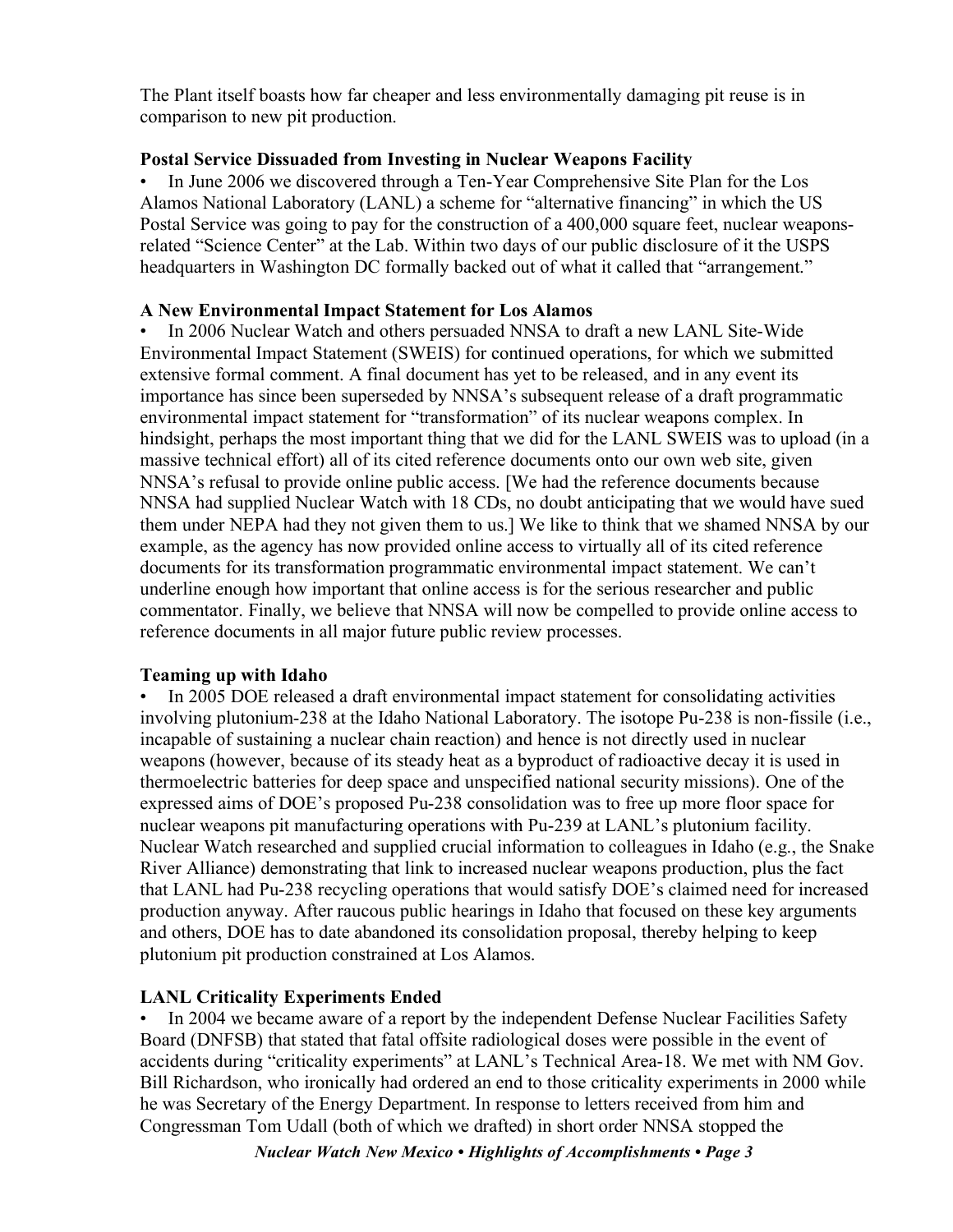The Plant itself boasts how far cheaper and less environmentally damaging pit reuse is in comparison to new pit production.

#### **Postal Service Dissuaded from Investing in Nuclear Weapons Facility**

• In June 2006 we discovered through a Ten-Year Comprehensive Site Plan for the Los Alamos National Laboratory (LANL) a scheme for "alternative financing" in which the US Postal Service was going to pay for the construction of a 400,000 square feet, nuclear weaponsrelated "Science Center" at the Lab. Within two days of our public disclosure of it the USPS headquarters in Washington DC formally backed out of what it called that "arrangement."

#### **A New Environmental Impact Statement for Los Alamos**

• In 2006 Nuclear Watch and others persuaded NNSA to draft a new LANL Site-Wide Environmental Impact Statement (SWEIS) for continued operations, for which we submitted extensive formal comment. A final document has yet to be released, and in any event its importance has since been superseded by NNSA's subsequent release of a draft programmatic environmental impact statement for "transformation" of its nuclear weapons complex. In hindsight, perhaps the most important thing that we did for the LANL SWEIS was to upload (in a massive technical effort) all of its cited reference documents onto our own web site, given NNSA's refusal to provide online public access. [We had the reference documents because NNSA had supplied Nuclear Watch with 18 CDs, no doubt anticipating that we would have sued them under NEPA had they not given them to us.] We like to think that we shamed NNSA by our example, as the agency has now provided online access to virtually all of its cited reference documents for its transformation programmatic environmental impact statement. We can't underline enough how important that online access is for the serious researcher and public commentator. Finally, we believe that NNSA will now be compelled to provide online access to reference documents in all major future public review processes.

## **Teaming up with Idaho**

• In 2005 DOE released a draft environmental impact statement for consolidating activities involving plutonium-238 at the Idaho National Laboratory. The isotope Pu-238 is non-fissile (i.e., incapable of sustaining a nuclear chain reaction) and hence is not directly used in nuclear weapons (however, because of its steady heat as a byproduct of radioactive decay it is used in thermoelectric batteries for deep space and unspecified national security missions). One of the expressed aims of DOE's proposed Pu-238 consolidation was to free up more floor space for nuclear weapons pit manufacturing operations with Pu-239 at LANL's plutonium facility. Nuclear Watch researched and supplied crucial information to colleagues in Idaho (e.g., the Snake River Alliance) demonstrating that link to increased nuclear weapons production, plus the fact that LANL had Pu-238 recycling operations that would satisfy DOE's claimed need for increased production anyway. After raucous public hearings in Idaho that focused on these key arguments and others, DOE has to date abandoned its consolidation proposal, thereby helping to keep plutonium pit production constrained at Los Alamos.

## **LANL Criticality Experiments Ended**

In 2004 we became aware of a report by the independent Defense Nuclear Facilities Safety Board (DNFSB) that stated that fatal offsite radiological doses were possible in the event of accidents during "criticality experiments" at LANL's Technical Area-18. We met with NM Gov. Bill Richardson, who ironically had ordered an end to those criticality experiments in 2000 while he was Secretary of the Energy Department. In response to letters received from him and Congressman Tom Udall (both of which we drafted) in short order NNSA stopped the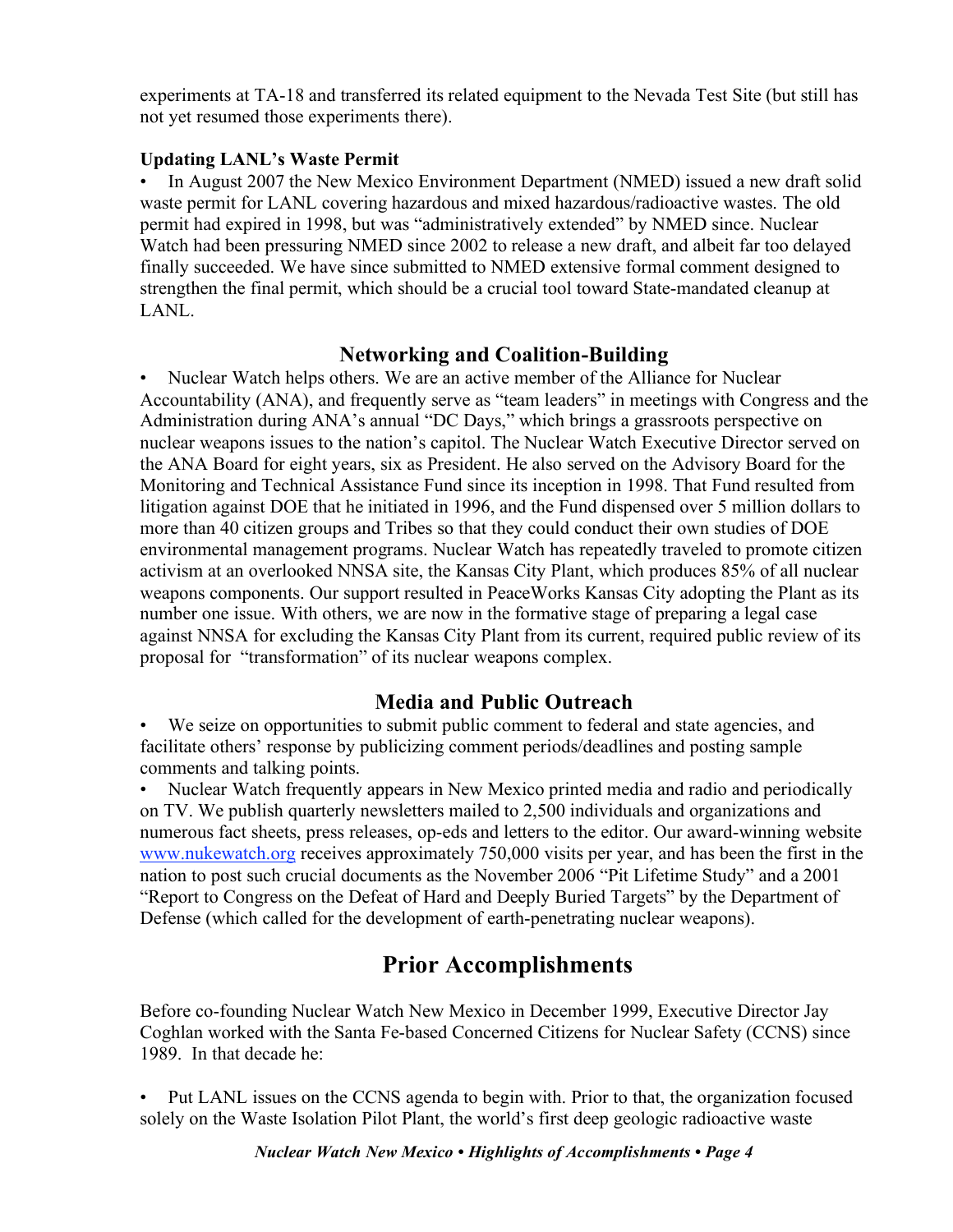experiments at TA-18 and transferred its related equipment to the Nevada Test Site (but still has not yet resumed those experiments there).

## **Updating LANL's Waste Permit**

In August 2007 the New Mexico Environment Department (NMED) issued a new draft solid waste permit for LANL covering hazardous and mixed hazardous/radioactive wastes. The old permit had expired in 1998, but was "administratively extended" by NMED since. Nuclear Watch had been pressuring NMED since 2002 to release a new draft, and albeit far too delayed finally succeeded. We have since submitted to NMED extensive formal comment designed to strengthen the final permit, which should be a crucial tool toward State-mandated cleanup at LANL.

## **Networking and Coalition-Building**

• Nuclear Watch helps others. We are an active member of the Alliance for Nuclear Accountability (ANA), and frequently serve as "team leaders" in meetings with Congress and the Administration during ANA's annual "DC Days," which brings a grassroots perspective on nuclear weapons issues to the nation's capitol. The Nuclear Watch Executive Director served on the ANA Board for eight years, six as President. He also served on the Advisory Board for the Monitoring and Technical Assistance Fund since its inception in 1998. That Fund resulted from litigation against DOE that he initiated in 1996, and the Fund dispensed over 5 million dollars to more than 40 citizen groups and Tribes so that they could conduct their own studies of DOE environmental management programs. Nuclear Watch has repeatedly traveled to promote citizen activism at an overlooked NNSA site, the Kansas City Plant, which produces 85% of all nuclear weapons components. Our support resulted in PeaceWorks Kansas City adopting the Plant as its number one issue. With others, we are now in the formative stage of preparing a legal case against NNSA for excluding the Kansas City Plant from its current, required public review of its proposal for "transformation" of its nuclear weapons complex.

# **Media and Public Outreach**

• We seize on opportunities to submit public comment to federal and state agencies, and facilitate others' response by publicizing comment periods/deadlines and posting sample comments and talking points.

• Nuclear Watch frequently appears in New Mexico printed media and radio and periodically on TV. We publish quarterly newsletters mailed to 2,500 individuals and organizations and numerous fact sheets, press releases, op-eds and letters to the editor. Our award-winning website www.nukewatch.org receives approximately 750,000 visits per year, and has been the first in the nation to post such crucial documents as the November 2006 "Pit Lifetime Study" and a 2001 "Report to Congress on the Defeat of Hard and Deeply Buried Targets" by the Department of Defense (which called for the development of earth-penetrating nuclear weapons).

# **Prior Accomplishments**

Before co-founding Nuclear Watch New Mexico in December 1999, Executive Director Jay Coghlan worked with the Santa Fe-based Concerned Citizens for Nuclear Safety (CCNS) since 1989. In that decade he:

• Put LANL issues on the CCNS agenda to begin with. Prior to that, the organization focused solely on the Waste Isolation Pilot Plant, the world's first deep geologic radioactive waste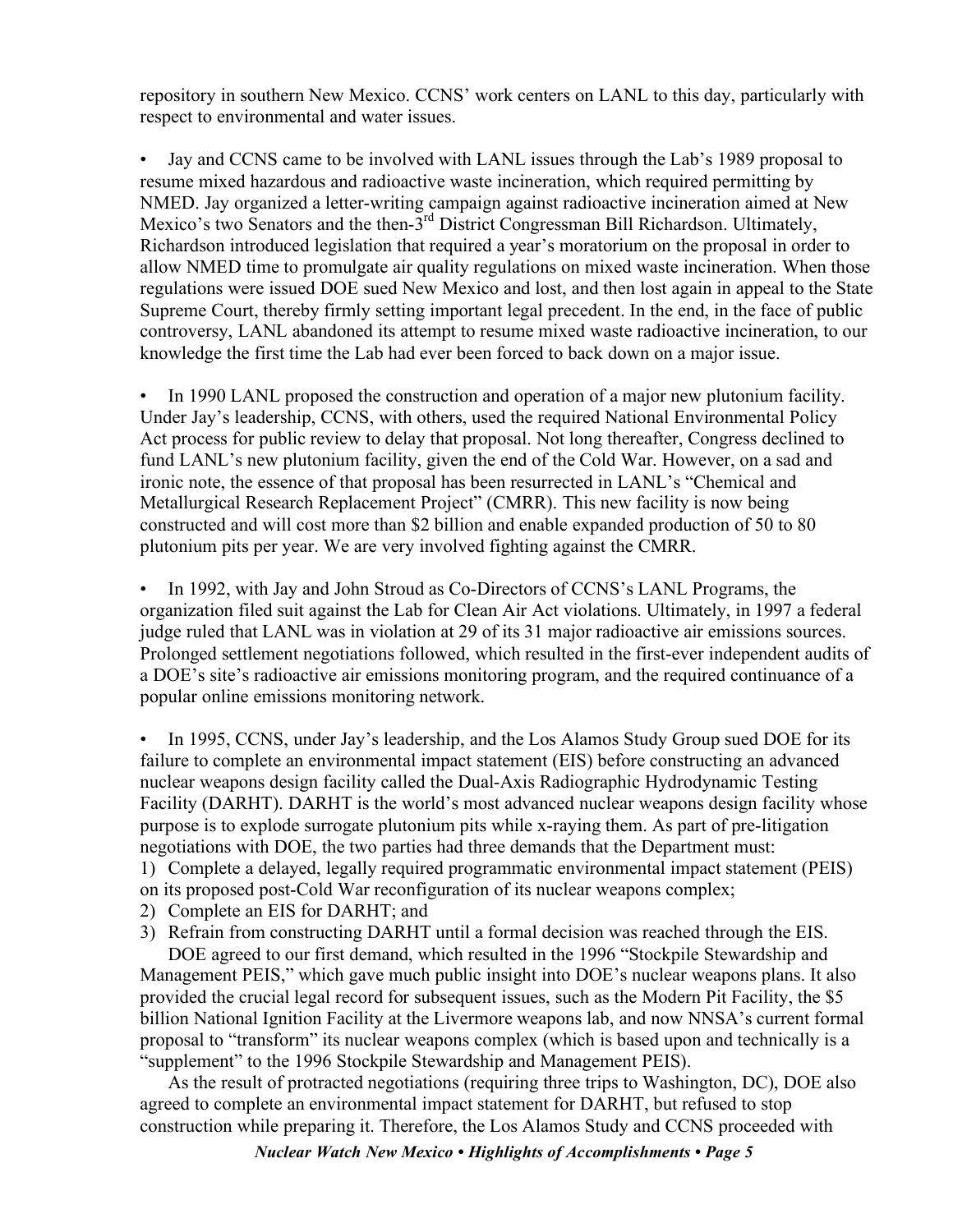repository in southern New Mexico. CCNS' work centers on LANL to this day, particularly with respect to environmental and water issues.

• Jay and CCNS came to be involved with LANL issues through the Lab's 1989 proposal to resume mixed hazardous and radioactive waste incineration, which required permitting by NMED. Jay organized a letter-writing campaign against radioactive incineration aimed at New Mexico's two Senators and the then-3<sup>rd</sup> District Congressman Bill Richardson. Ultimately, Richardson introduced legislation that required a year's moratorium on the proposal in order to allow NMED time to promulgate air quality regulations on mixed waste incineration. When those regulations were issued DOE sued New Mexico and lost, and then lost again in appeal to the State Supreme Court, thereby firmly setting important legal precedent. In the end, in the face of public controversy, LANL abandoned its attempt to resume mixed waste radioactive incineration, to our knowledge the first time the Lab had ever been forced to back down on a major issue.

• In 1990 LANL proposed the construction and operation of a major new plutonium facility. Under Jay's leadership, CCNS, with others, used the required National Environmental Policy Act process for public review to delay that proposal. Not long thereafter, Congress declined to fund LANL's new plutonium facility, given the end of the Cold War. However, on a sad and ironic note, the essence of that proposal has been resurrected in LANL's "Chemical and Metallurgical Research Replacement Project" (CMRR). This new facility is now being constructed and will cost more than \$2 billion and enable expanded production of 50 to 80 plutonium pits per year. We are very involved fighting against the CMRR.

In 1992, with Jay and John Stroud as Co-Directors of CCNS's LANL Programs, the organization filed suit against the Lab for Clean Air Act violations. Ultimately, in 1997 a federal judge ruled that LANL was in violation at 29 of its 31 major radioactive air emissions sources. Prolonged settlement negotiations followed, which resulted in the first-ever independent audits of a DOE's site's radioactive air emissions monitoring program, and the required continuance of a popular online emissions monitoring network.

In 1995, CCNS, under Jay's leadership, and the Los Alamos Study Group sued DOE for its failure to complete an environmental impact statement (EIS) before constructing an advanced nuclear weapons design facility called the Dual-Axis Radiographic Hydrodynamic Testing Facility (DARHT). DARHT is the world's most advanced nuclear weapons design facility whose purpose is to explode surrogate plutonium pits while x-raying them. As part of pre-litigation negotiations with DOE, the two parties had three demands that the Department must:

1) Complete a delayed, legally required programmatic environmental impact statement (PEIS)

- on its proposed post-Cold War reconfiguration of its nuclear weapons complex;
- 2) Complete an EIS for DARHT; and
- 3) Refrain from constructing DARHT until a formal decision was reached through the EIS.

DOE agreed to our first demand, which resulted in the 1996 "Stockpile Stewardship and Management PEIS," which gave much public insight into DOE's nuclear weapons plans. It also provided the crucial legal record for subsequent issues, such as the Modern Pit Facility, the \$5 billion National Ignition Facility at the Livermore weapons lab, and now NNSA's current formal proposal to "transform" its nuclear weapons complex (which is based upon and technically is a "supplement" to the 1996 Stockpile Stewardship and Management PEIS).

As the result of protracted negotiations (requiring three trips to Washington, DC), DOE also agreed to complete an environmental impact statement for DARHT, but refused to stop construction while preparing it. Therefore, the Los Alamos Study and CCNS proceeded with

*Nuclear Watch New Mexico • Highlights of Accomplishments • Page 5*